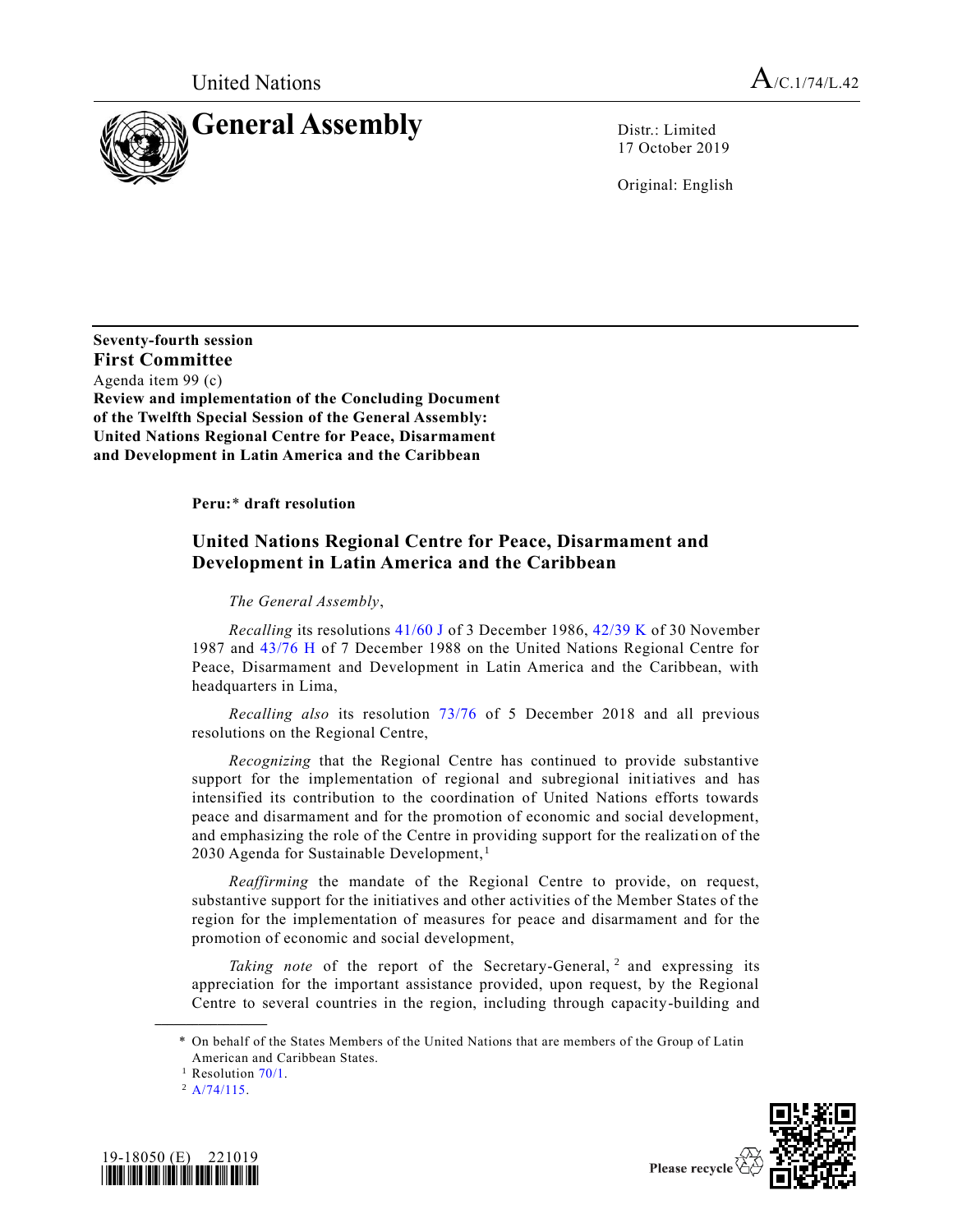

17 October 2019

Original: English

**Seventy-fourth session First Committee** Agenda item 99 (c) **Review and implementation of the Concluding Document of the Twelfth Special Session of the General Assembly: United Nations Regional Centre for Peace, Disarmament and Development in Latin America and the Caribbean**

**Peru:**\* **draft resolution**

## **United Nations Regional Centre for Peace, Disarmament and Development in Latin America and the Caribbean**

*The General Assembly*,

*Recalling* its resolutions [41/60 J](https://undocs.org/en/A/RES/41/60) of 3 December 1986, [42/39 K](https://undocs.org/en/A/RES/42/39) of 30 November 1987 and [43/76 H](https://undocs.org/en/A/RES/43/76) of 7 December 1988 on the United Nations Regional Centre for Peace, Disarmament and Development in Latin America and the Caribbean, with headquarters in Lima,

*Recalling also* its resolution [73/76](https://undocs.org/en/A/RES/73/76) of 5 December 2018 and all previous resolutions on the Regional Centre,

*Recognizing* that the Regional Centre has continued to provide substantive support for the implementation of regional and subregional initiatives and has intensified its contribution to the coordination of United Nations efforts towards peace and disarmament and for the promotion of economic and social development, and emphasizing the role of the Centre in providing support for the realization of the 2030 Agenda for Sustainable Development, $<sup>1</sup>$ </sup>

*Reaffirming* the mandate of the Regional Centre to provide, on request, substantive support for the initiatives and other activities of the Member States of the region for the implementation of measures for peace and disarmament and for the promotion of economic and social development,

Taking note of the report of the Secretary-General, <sup>2</sup> and expressing its appreciation for the important assistance provided, upon request, by the Regional Centre to several countries in the region, including through capacity-building and

**\_\_\_\_\_\_\_\_\_\_\_\_\_\_\_\_\_\_**





<sup>\*</sup> On behalf of the States Members of the United Nations that are members of the Group of Latin American and Caribbean States.

<sup>&</sup>lt;sup>1</sup> Resolution  $70/1$ .

 $^2$  [A/74/115.](https://undocs.org/en/A/74/115)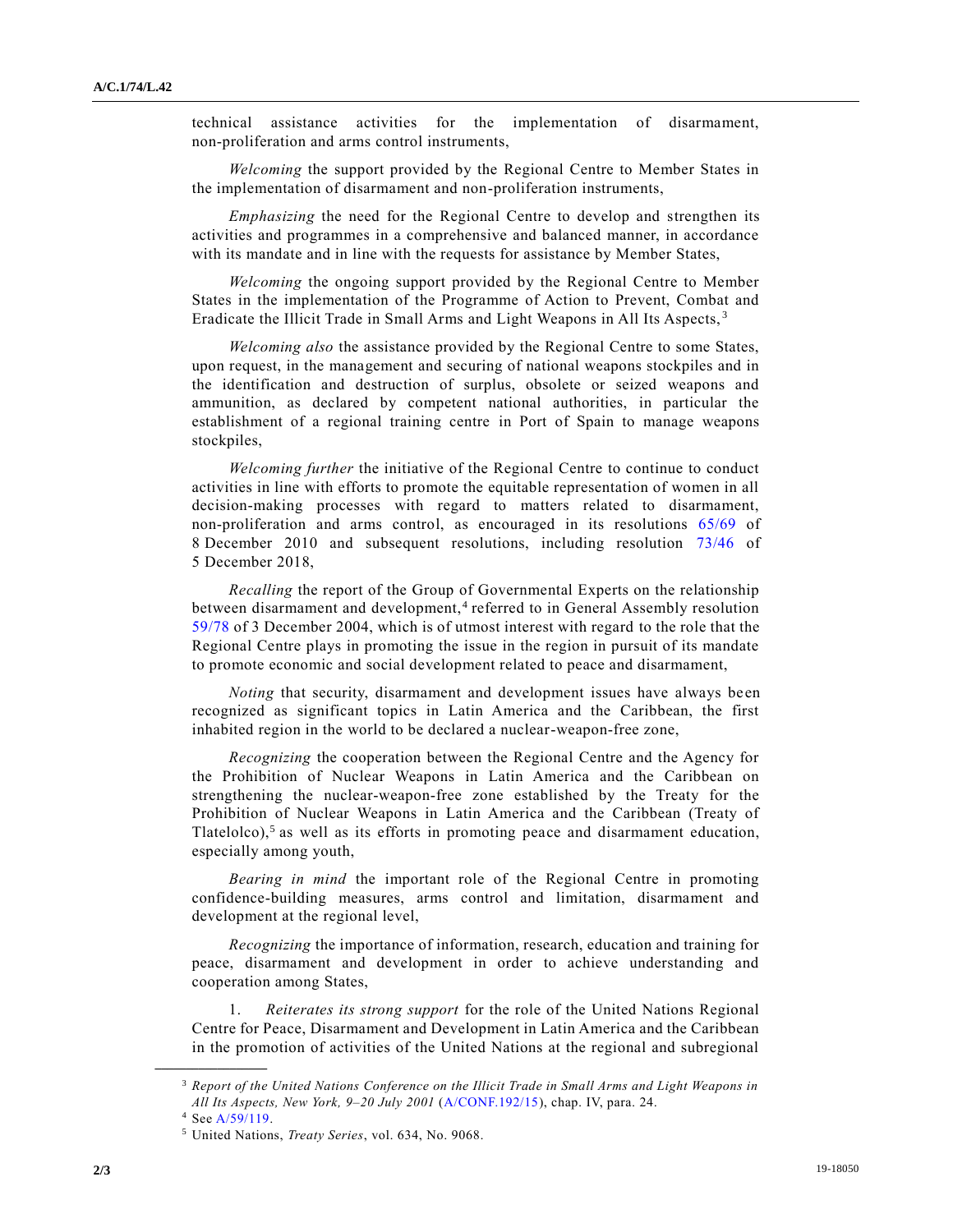technical assistance activities for the implementation of disarmament, non-proliferation and arms control instruments,

*Welcoming* the support provided by the Regional Centre to Member States in the implementation of disarmament and non-proliferation instruments,

*Emphasizing* the need for the Regional Centre to develop and strengthen its activities and programmes in a comprehensive and balanced manner, in accordance with its mandate and in line with the requests for assistance by Member States,

*Welcoming* the ongoing support provided by the Regional Centre to Member States in the implementation of the Programme of Action to Prevent, Combat and Eradicate the Illicit Trade in Small Arms and Light Weapons in All Its Aspects, <sup>3</sup>

*Welcoming also* the assistance provided by the Regional Centre to some States, upon request, in the management and securing of national weapons stockpiles and in the identification and destruction of surplus, obsolete or seized weapons and ammunition, as declared by competent national authorities, in particular the establishment of a regional training centre in Port of Spain to manage weapons stockpiles,

*Welcoming further* the initiative of the Regional Centre to continue to conduct activities in line with efforts to promote the equitable representation of women in all decision-making processes with regard to matters related to disarmament, non-proliferation and arms control, as encouraged in its resolutions [65/69](https://undocs.org/en/A/RES/65/69) of 8 December 2010 and subsequent resolutions, including resolution [73/46](https://undocs.org/en/A/RES/73/46) of 5 December 2018,

*Recalling* the report of the Group of Governmental Experts on the relationship between disarmament and development,<sup>4</sup> referred to in General Assembly resolution [59/78](https://undocs.org/en/A/RES/59/78) of 3 December 2004, which is of utmost interest with regard to the role that the Regional Centre plays in promoting the issue in the region in pursuit of its mandate to promote economic and social development related to peace and disarmament,

*Noting* that security, disarmament and development issues have always been recognized as significant topics in Latin America and the Caribbean, the first inhabited region in the world to be declared a nuclear-weapon-free zone,

*Recognizing* the cooperation between the Regional Centre and the Agency for the Prohibition of Nuclear Weapons in Latin America and the Caribbean on strengthening the nuclear-weapon-free zone established by the Treaty for the Prohibition of Nuclear Weapons in Latin America and the Caribbean (Treaty of Tlatelolco),<sup>5</sup> as well as its efforts in promoting peace and disarmament education, especially among youth,

*Bearing in mind* the important role of the Regional Centre in promoting confidence-building measures, arms control and limitation, disarmament and development at the regional level,

*Recognizing* the importance of information, research, education and training for peace, disarmament and development in order to achieve understanding and cooperation among States,

1. *Reiterates its strong support* for the role of the United Nations Regional Centre for Peace, Disarmament and Development in Latin America and the Caribbean in the promotion of activities of the United Nations at the regional and subregional

**\_\_\_\_\_\_\_\_\_\_\_\_\_\_\_\_\_\_**

<sup>3</sup> *Report of the United Nations Conference on the Illicit Trade in Small Arms and Light Weapons in All Its Aspects, New York, 9–20 July 2001* [\(A/CONF.192/15\)](https://undocs.org/en/A/CONF.192/15), chap. IV, para. 24.

<sup>4</sup> Se[e A/59/119.](https://undocs.org/en/A/59/119)

<sup>5</sup> United Nations, *Treaty Series*, vol. 634, No. 9068.